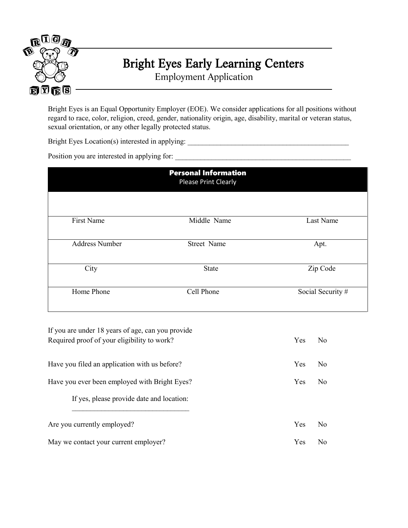

## Bright Eyes Early Learning Centers

Employment Application

Bright Eyes is an Equal Opportunity Employer (EOE). We consider applications for all positions without regard to race, color, religion, creed, gender, nationality origin, age, disability, marital or veteran status, sexual orientation, or any other legally protected status.

Bright Eyes Location(s) interested in applying: \_\_\_\_\_\_\_\_\_\_\_\_\_\_\_\_\_\_\_\_\_\_\_\_\_\_\_\_\_\_\_\_\_\_\_\_\_\_\_\_\_\_\_\_

Position you are interested in applying for: \_\_\_\_\_\_\_\_\_\_\_\_\_\_\_\_\_\_\_\_\_\_\_\_\_\_\_\_\_\_\_\_\_\_\_\_\_\_\_\_\_\_\_\_\_\_\_\_

| <b>Personal Information</b><br><b>Please Print Clearly</b> |              |                   |  |  |
|------------------------------------------------------------|--------------|-------------------|--|--|
|                                                            |              |                   |  |  |
| First Name                                                 | Middle Name  | Last Name         |  |  |
| <b>Address Number</b>                                      | Street Name  | Apt.              |  |  |
| City                                                       | <b>State</b> | Zip Code          |  |  |
| Home Phone                                                 | Cell Phone   | Social Security # |  |  |

| If you are under 18 years of age, can you provide<br>Required proof of your eligibility to work? | $\Box$ Yes $\Box$ No |
|--------------------------------------------------------------------------------------------------|----------------------|
| Have you filed an application with us before?                                                    | $\Box$ Yes $\Box$ No |
| Have you ever been employed with Bright Eyes?                                                    | $\Box$ Yes $\Box$ No |
| If yes, please provide date and location:                                                        |                      |
| Are you currently employed?                                                                      | $\Box$ Yes $\Box$ No |
| May we contact your current employer?                                                            | Yes I                |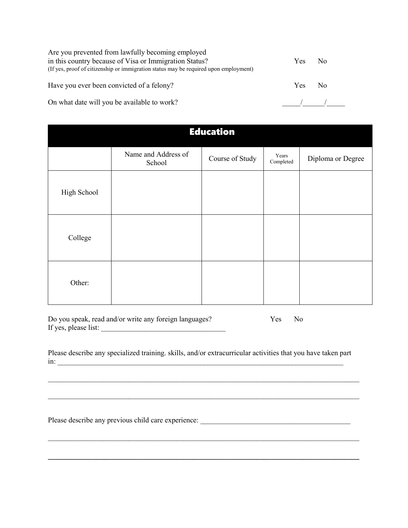Are you prevented from lawfully becoming employed in this country because of Visa or Immigration Status? (If yes, proof of citizenship or immigration status may be required upon employment)

Have you ever been convicted of a felony?  $\Box$  Yes  $\Box$  No

On what date will you be available to work?

|--|--|

| <b>Education</b> |                               |                 |                    |                   |
|------------------|-------------------------------|-----------------|--------------------|-------------------|
|                  | Name and Address of<br>School | Course of Study | Years<br>Completed | Diploma or Degree |
| High School      |                               |                 |                    |                   |
| College          |                               |                 |                    |                   |
| Other:           |                               |                 |                    |                   |

Do you speak, read and/or write any foreign languages?  $\Box$  Yes  $\Box$  No If yes, please list:

Please describe any specialized training. skills, and/or extracurricular activities that you have taken part  $\lim_{\longrightarrow}$ 

 $\mathcal{L}_\text{max} = \mathcal{L}_\text{max} = \mathcal{L}_\text{max} = \mathcal{L}_\text{max} = \mathcal{L}_\text{max} = \mathcal{L}_\text{max} = \mathcal{L}_\text{max} = \mathcal{L}_\text{max} = \mathcal{L}_\text{max} = \mathcal{L}_\text{max} = \mathcal{L}_\text{max} = \mathcal{L}_\text{max} = \mathcal{L}_\text{max} = \mathcal{L}_\text{max} = \mathcal{L}_\text{max} = \mathcal{L}_\text{max} = \mathcal{L}_\text{max} = \mathcal{L}_\text{max} = \mathcal{$ 

 $\_$ 

\_\_\_\_\_\_\_\_\_\_\_\_\_\_\_\_\_\_\_\_\_\_\_\_\_\_\_\_\_\_\_\_\_\_\_\_\_\_\_\_\_\_\_\_\_\_\_\_\_\_\_\_\_\_\_\_\_\_\_\_\_\_\_\_\_\_\_\_\_\_\_\_\_\_\_\_\_\_\_\_\_\_\_\_\_

Please describe any previous child care experience: \_\_\_\_\_\_\_\_\_\_\_\_\_\_\_\_\_\_\_\_\_\_\_\_\_\_\_\_\_\_\_\_\_\_\_\_\_\_\_\_\_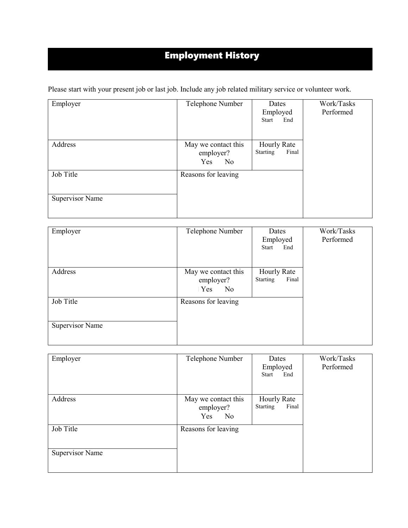## Employment History

Please start with your present job or last job. Include any job related military service or volunteer work.

| Employer               | Telephone Number                                         | Dates<br>Employed<br>Start<br>End              | Work/Tasks<br>Performed |
|------------------------|----------------------------------------------------------|------------------------------------------------|-------------------------|
| Address                | May we contact this<br>employer?<br>$\Box$ Yes $\Box$ No | <b>Hourly Rate</b><br><b>Starting</b><br>Final |                         |
| Job Title              | Reasons for leaving                                      |                                                |                         |
| <b>Supervisor Name</b> |                                                          |                                                |                         |

| Employer               | Telephone Number                                         | Dates<br>Employed<br><b>Start</b><br>End | Work/Tasks<br>Performed |
|------------------------|----------------------------------------------------------|------------------------------------------|-------------------------|
| Address                | May we contact this<br>employer?<br>$\Box$ Yes $\Box$ No | Hourly Rate<br>Final<br>Starting         |                         |
| Job Title              | Reasons for leaving                                      |                                          |                         |
| <b>Supervisor Name</b> |                                                          |                                          |                         |

| Employer               | Telephone Number                                         | Dates<br>Employed<br>Start<br>End              | Work/Tasks<br>Performed |
|------------------------|----------------------------------------------------------|------------------------------------------------|-------------------------|
| Address                | May we contact this<br>employer?<br>$\Box$ Yes $\Box$ No | <b>Hourly Rate</b><br><b>Starting</b><br>Final |                         |
| Job Title              | Reasons for leaving                                      |                                                |                         |
| <b>Supervisor Name</b> |                                                          |                                                |                         |